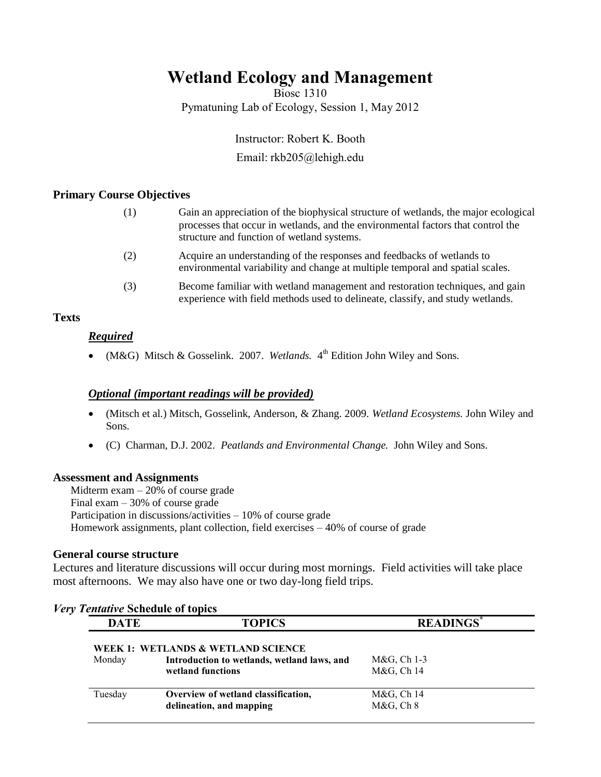# **Wetland Ecology and Management**

Biosc 1310 Pymatuning Lab of Ecology, Session 1, May 2012

> Instructor: Robert K. Booth Email: rkb205@lehigh.edu

### **Primary Course Objectives**

| (1) | Gain an appreciation of the biophysical structure of wetlands, the major ecological<br>processes that occur in wetlands, and the environmental factors that control the<br>structure and function of wetland systems. |
|-----|-----------------------------------------------------------------------------------------------------------------------------------------------------------------------------------------------------------------------|
| (2) | Acquire an understanding of the responses and feedbacks of wetlands to<br>environmental variability and change at multiple temporal and spatial scales.                                                               |
| (3) | Become familiar with wetland management and restoration techniques, and gain<br>experience with field methods used to delineate, classify, and study wetlands.                                                        |

### **Texts**

## *Required*

• (M&G) Mitsch & Gosselink. 2007. *Wetlands*. 4<sup>th</sup> Edition John Wiley and Sons.

### *Optional (important readings will be provided)*

- (Mitsch et al.) Mitsch, Gosselink, Anderson, & Zhang. 2009. *Wetland Ecosystems.* John Wiley and Sons.
- (C) Charman, D.J. 2002. *Peatlands and Environmental Change.* John Wiley and Sons.

### **Assessment and Assignments**

Midterm exam – 20% of course grade Final exam – 30% of course grade Participation in discussions/activities – 10% of course grade Homework assignments, plant collection, field exercises – 40% of course of grade

### **General course structure**

Lectures and literature discussions will occur during most mornings. Field activities will take place most afternoons. We may also have one or two day-long field trips.

| <b>DATE</b> | <b>TOPICS</b>                               | <b>READINGS</b>      |
|-------------|---------------------------------------------|----------------------|
|             | WEEK 1: WETLANDS & WETLAND SCIENCE          |                      |
| Monday      | Introduction to wetlands, wetland laws, and | M&G, Ch 1-3          |
|             | wetland functions                           | M&G, Ch 14           |
| Tuesday     | Overview of wetland classification,         | M&G, Ch 14           |
|             | delineation, and mapping                    | M&G, Ch <sub>8</sub> |

### *Very Tentative* **Schedule of topics**